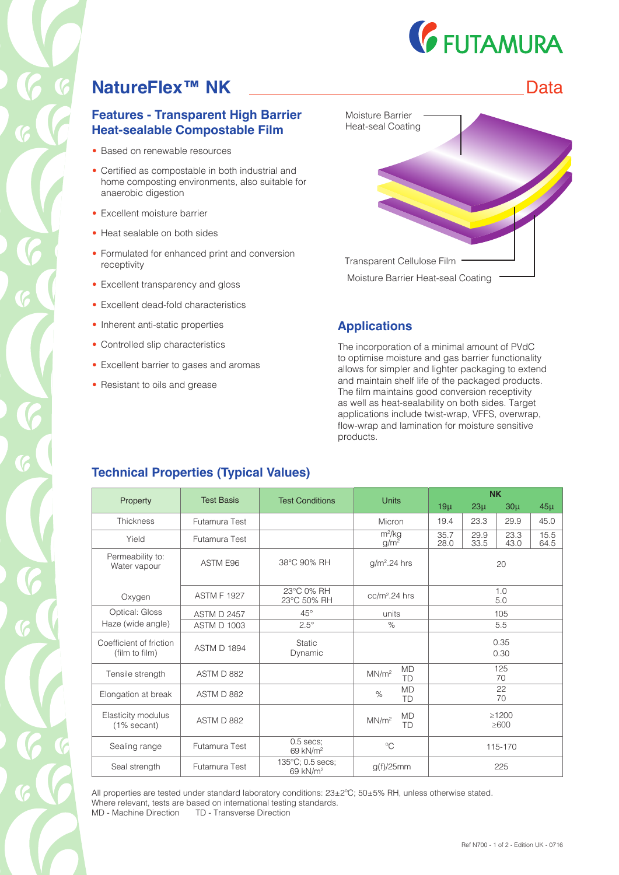

## **NatureFlex™ NK** Data

#### **Features - Transparent High Barrier Heat-sealable Compostable Film**

- Based on renewable resources
- Certified as compostable in both industrial and home composting environments, also suitable for anaerobic digestion
- Excellent moisture barrier
- Heat sealable on both sides
- Formulated for enhanced print and conversion receptivity
- Excellent transparency and gloss
- Excellent dead-fold characteristics
- Inherent anti-static properties
- Controlled slip characteristics
- Excellent barrier to gases and aromas
- Resistant to oils and grease



#### **Applications**

The incorporation of a minimal amount of PVdC to optimise moisture and gas barrier functionality allows for simpler and lighter packaging to extend and maintain shelf life of the packaged products. The film maintains good conversion receptivity as well as heat-sealability on both sides. Target applications include twist-wrap, VFFS, overwrap, flow-wrap and lamination for moisture sensitive products.

#### **Technical Properties (Typical Values)**

|                                           |                    |                                          |                                      | <b>NK</b>                 |              |              |              |
|-------------------------------------------|--------------------|------------------------------------------|--------------------------------------|---------------------------|--------------|--------------|--------------|
| Property                                  | <b>Test Basis</b>  | <b>Test Conditions</b>                   | <b>Units</b>                         | $19\mu$                   | $23\mu$      | $30\mu$      | $45\mu$      |
| <b>Thickness</b>                          | Futamura Test      |                                          | Micron                               | 19.4                      | 23.3         | 29.9         | 45.0         |
| Yield                                     | Futamura Test      |                                          | $m^2/kg$<br>g/m <sup>2</sup>         | 35.7<br>28.0              | 29.9<br>33.5 | 23.3<br>43.0 | 15.5<br>64.5 |
| Permeability to:<br>Water vapour          | ASTM E96           | 38°C 90% RH                              | $g/m2$ .24 hrs                       | 20                        |              |              |              |
| Oxygen                                    | <b>ASTM F 1927</b> | 23°C 0% RH<br>23°C 50% RH                | $cc/m2$ .24 hrs                      | 1.0<br>5.0                |              |              |              |
| Optical: Gloss                            | <b>ASTM D 2457</b> | $45^{\circ}$                             | units                                | 105                       |              |              |              |
| Haze (wide angle)                         | <b>ASTM D 1003</b> | $2.5^\circ$                              | $\%$                                 | 5.5                       |              |              |              |
| Coefficient of friction<br>(film to film) | <b>ASTM D 1894</b> | <b>Static</b><br>Dynamic                 |                                      | 0.35<br>0.30              |              |              |              |
| Tensile strength                          | ASTM D 882         |                                          | <b>MD</b><br>MN/m <sup>2</sup><br>TD | 125<br>70                 |              |              |              |
| Elongation at break                       | ASTM D 882         |                                          | <b>MD</b><br>$\%$<br>TD              | 22<br>70                  |              |              |              |
| Elasticity modulus<br>(1% secant)         | ASTM D 882         |                                          | <b>MD</b><br>MN/m <sup>2</sup><br>TD | $\geq$ 1200<br>$\geq 600$ |              |              |              |
| Sealing range                             | Futamura Test      | $0.5$ secs;<br>69 kN/m <sup>2</sup>      | $^{\circ}C$                          | 115-170                   |              |              |              |
| Seal strength                             | Futamura Test      | 135°C; 0.5 secs;<br>69 kN/m <sup>2</sup> | $g(f)/25$ mm                         | 225                       |              |              |              |

All properties are tested under standard laboratory conditions: 23±2ºC; 50±5% RH, unless otherwise stated. Where relevant, tests are based on international testing standards. MD - Machine Direction TD - Transverse Direction